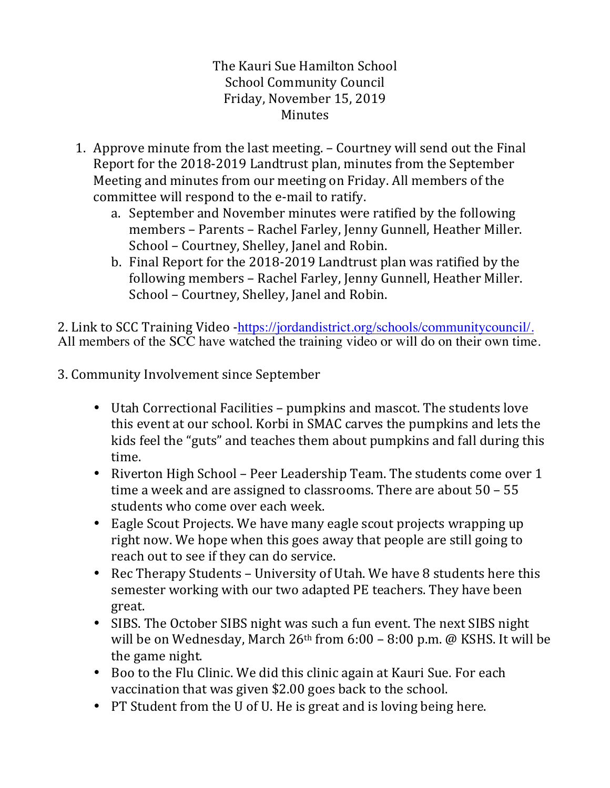The Kauri Sue Hamilton School School Community Council Friday, November 15, 2019 Minutes

- 1. Approve minute from the last meeting. Courtney will send out the Final Report for the 2018-2019 Landtrust plan, minutes from the September Meeting and minutes from our meeting on Friday. All members of the committee will respond to the e-mail to ratify.
	- a. September and November minutes were ratified by the following members – Parents – Rachel Farley, Jenny Gunnell, Heather Miller. School – Courtney, Shelley, Janel and Robin.
	- b. Final Report for the 2018-2019 Landtrust plan was ratified by the following members - Rachel Farley, Jenny Gunnell, Heather Miller. School - Courtney, Shelley, Janel and Robin.

2. Link to SCC Training Video -https://jordandistrict.org/schools/communitycouncil/.<br>All members of the SCC have watched the training video or will do on their own time.

3. Community Involvement since September

- Utah Correctional Facilities pumpkins and mascot. The students love this event at our school. Korbi in SMAC carves the pumpkins and lets the kids feel the "guts" and teaches them about pumpkins and fall during this time.
- Riverton High School Peer Leadership Team. The students come over 1 time a week and are assigned to classrooms. There are about  $50 - 55$ students who come over each week.
- Eagle Scout Projects. We have many eagle scout projects wrapping up right now. We hope when this goes away that people are still going to reach out to see if they can do service.
- Rec Therapy Students University of Utah. We have 8 students here this semester working with our two adapted PE teachers. They have been great.
- SIBS. The October SIBS night was such a fun event. The next SIBS night will be on Wednesday, March  $26<sup>th</sup>$  from  $6:00 - 8:00$  p.m. @ KSHS. It will be the game night.
- Boo to the Flu Clinic. We did this clinic again at Kauri Sue. For each vaccination that was given \$2.00 goes back to the school.
- PT Student from the U of U. He is great and is loving being here.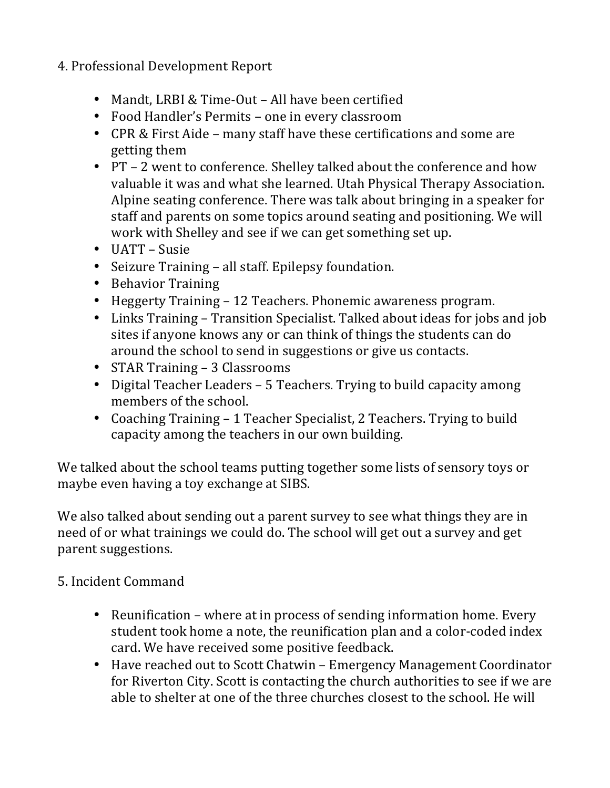## 4. Professional Development Report

- Mandt, LRBI & Time-Out All have been certified
- Food Handler's Permits one in every classroom
- CPR & First Aide many staff have these certifications and some are getting them
- PT 2 went to conference. Shelley talked about the conference and how valuable it was and what she learned. Utah Physical Therapy Association. Alpine seating conference. There was talk about bringing in a speaker for staff and parents on some topics around seating and positioning. We will work with Shelley and see if we can get something set up.
- $\bullet$  UATT Susie
- Seizure Training all staff. Epilepsy foundation.
- Behavior Training
- Heggerty Training 12 Teachers. Phonemic awareness program.
- Links Training Transition Specialist. Talked about ideas for jobs and job sites if anyone knows any or can think of things the students can do around the school to send in suggestions or give us contacts.
- STAR Training 3 Classrooms
- Digital Teacher Leaders 5 Teachers. Trying to build capacity among members of the school.
- Coaching Training 1 Teacher Specialist, 2 Teachers. Trying to build capacity among the teachers in our own building.

We talked about the school teams putting together some lists of sensory toys or maybe even having a toy exchange at SIBS.

We also talked about sending out a parent survey to see what things they are in need of or what trainings we could do. The school will get out a survey and get parent suggestions.

## 5. Incident Command

- Reunification where at in process of sending information home. Every student took home a note, the reunification plan and a color-coded index card. We have received some positive feedback.
- Have reached out to Scott Chatwin Emergency Management Coordinator for Riverton City. Scott is contacting the church authorities to see if we are able to shelter at one of the three churches closest to the school. He will